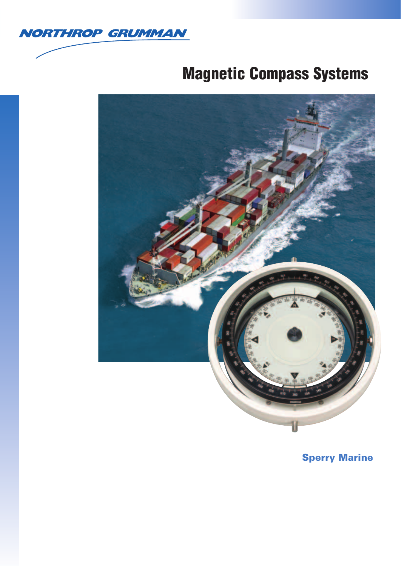

# **Magnetic Compass Systems**



**Sperry Marine**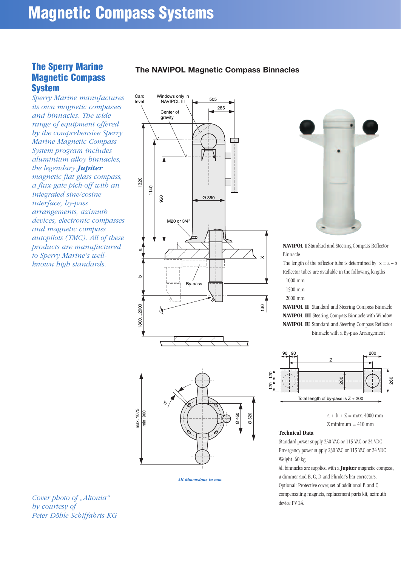# **The Sperry Marine Magnetic Compass System**

*Sperry Marine manufactures its own magnetic compasses and binnacles. The wide range of equipment offered by the comprehensive Sperry Marine Magnetic Compass System program includes aluminium alloy binnacles, the legendary Jupiter magnetic flat glass compass, a flux-gate pick-off with an integrated sine/cosine interface, by-pass arrangements, azimuth devices, electronic compasses and magnetic compass autopilots (TMC). All of these products are manufactured to Sperry Marine's wellknown high standards.* 

# **The NAVIPOL Magnetic Compass Binnacles**



*All dimensions in mm*



**NAVIPOL I** Standard and Steering Compass Reflector Binnacle

The length of the reflector tube is determined by  $x = a + b$ Reflector tubes are available in the following lengths 1000 mm

1500 mm

2000 mm

**NAVIPOL II** Standard and Steering Compass Binnacle **NAVIPOL III** Steering Compass Binnacle with Window **NAVIPOL IU** Standard and Steering Compass Reflector Binnacle with a By-pass Arrangement



 $a + b + Z = \max. 4000$  mm  $Z$  minimum  $= 410$  mm

#### **Technical Data**

Standard power supply 230 VAC or 115 VAC or 24 VDC Emergency power supply 230 VAC or 115 VAC or 24 VDC Weight 60 kg

All binnacles are supplied with a **Jupiter** magnetic compass, a dimmer and B, C, D and Flinder's bar correctors. Optional: Protective cover, set of additional B and C compensating magnets, replacement parts kit, azimuth device PV 24.

*Cover photo of "Altonia" by courtesy of Peter Döhle Schiffahrts-KG*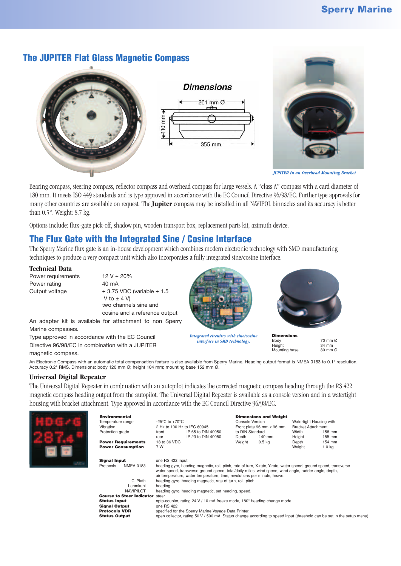# **The JUPITER Flat Glass Magnetic Compass**







*JUPITER in an Overhead Mounting Bracket*

Bearing compass, steering compass, reflector compass and overhead compass for large vessels. A "class A" compass with a card diameter of 180 mm. It meets ISO 449 standards and is type approved in accordance with the EC Council Directive 96/98/EC. Further type approvals for many other countries are available on request. The **Jupiter** compass may be installed in all NAVIPOL binnacles and its accuracy is better than 0.5°. Weight: 8.7 kg.

Options include: flux-gate pick-off, shadow pin, wooden transport box, replacement parts kit, azimuth device.

# **The Flux Gate with the Integrated Sine / Cosine Interface**

The Sperry Marine flux gate is an in-house development which combines modern electronic technology with SMD manufacturing techniques to produce a very compact unit which also incorporates a fully integrated sine/cosine interface.

#### **Technical Data**

Power requirements  $12 V \pm 20\%$ Power rating 40 mA

Output voltage  $\pm 3.75$  VDC (variable  $\pm 1.5$ V to  $\pm$  4 V) two channels sine and cosine and a reference output

An adapter kit is available for attachment to non Sperry Marine compasses.

Type approved in accordance with the EC Council Directive 96/98/EC in combination with a JUPITER magnetic compass.



*Integrated circuitry with sine/cosine interface in SMD technology.*



**Dimensions**<br>Body<br>Height Mounting base

Body 70 mm Ø  $\frac{34 \text{ mm}}{80 \text{ mm}}$ 

An Electronic Compass with an automatic total compensation feature is also available from Sperry Marine. Heading output format is NMEA 0183 to 0.1° resolution. Accuracy 0.2° RMS. Dimensions: body 120 mm Ø; height 104 mm; mounting base 152 mm Ø.

## **Universal Digital Repeater**

The Universal Digital Repeater in combination with an autopilot indicates the corrected magnetic compass heading through the RS 422 magnetic compass heading output from the autopilot. The Universal Digital Repeater is available as a console version and in a watertight housing with bracket attachment. Type approved in accordance with the EC Council Directive 96/98/EC.

|  | <b>Environmental</b><br>Temperature range<br>Vibration<br>Protection grade<br><b>Power Requirements</b>                         | -25 $^{\circ}$ C to +70 $^{\circ}$ C<br>2 Hz to 100 Hz to IEC 60945<br>IP 65 to DIN 40050<br>front<br>IP 23 to DIN 40050<br>rear<br>18 to 36 VDC                                                                                                                                    | <b>Dimensions and Weight</b><br>Console Version<br>Front plate 96 mm x 96 mm<br>to DIN Standard<br>140 mm<br>Depth<br>0.5 <sub>kq</sub><br>Weight | Watertight Housing with<br>Bracket Attachment<br>Width<br>158 mm<br>Height<br>155 mm<br>154 mm<br>Depth                |
|--|---------------------------------------------------------------------------------------------------------------------------------|-------------------------------------------------------------------------------------------------------------------------------------------------------------------------------------------------------------------------------------------------------------------------------------|---------------------------------------------------------------------------------------------------------------------------------------------------|------------------------------------------------------------------------------------------------------------------------|
|  | <b>Power Consumption</b><br><b>Signal Input</b><br><b>NMEA 0183</b><br>Protocols                                                | 7 W<br>Weight<br>1.0 <sub>kq</sub><br>one RS 422 input<br>heading gyro, heading magnetic, roll, pitch, rate of turn, X-rate, Y-rate, water speed, ground speed, transverse<br>water speed, transverse ground speed, total/daily miles, wind speed, wind angle, rudder angle, depth, |                                                                                                                                                   |                                                                                                                        |
|  | C. Plath<br>Lehmkuhl<br><b>NAVIPILOT</b>                                                                                        | air temperature, water temperature, time, revolutions per minute, heave.<br>heading gyro, heading magnetic, rate of turn, roll, pitch.<br>heading.<br>heading gyro, heading magnetic, set heading, speed.                                                                           |                                                                                                                                                   |                                                                                                                        |
|  | <b>Course to Steer Indicator</b><br><b>Status Input</b><br><b>Signal Output</b><br><b>Protocols VDR</b><br><b>Status Output</b> | steer<br>opto-coupler, rating 24 V / 10 mA freeze mode, 180° heading change mode.<br>one RS 422<br>specified for the Sperry Marine Voyage Data Printer.                                                                                                                             |                                                                                                                                                   | open collector, rating 50 V / 500 mA. Status change according to speed input (threshold can be set in the setup menu). |